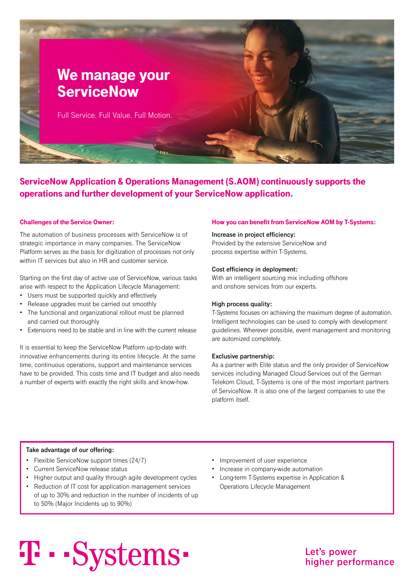

ServiceNow Application & Operations Management (S.AOM) continuously supports the operations and further development of your ServiceNow application.

The automation of business processes with ServiceNow is of strategic importance in many companies. The ServiceNow Platform serves as the basis for digitization of processes not only within IT services but also in HR and customer service.

Starting on the first day of active use of ServiceNow, various tasks arise with respect to the Application Lifecycle Management:

- Users must be supported quickly and effectively
- Release upgrades must be carried out smoothly
- The functional and organizational rollout must be planned and carried out thoroughly
- Extensions need to be stable and in line with the current release

It is essential to keep the ServiceNow Platform up-to-date with innovative enhancements during its entire lifecycle. At the same time, continuous operations, support and maintenance services have to be provided. This costs time and IT budget and also needs a number of experts with exactly the right skills and know-how.

## Challenges of the Service Owner: How you can benefit from ServiceNow AOM by T-Systems:

## **Increase in project efficiency:**

Provided by the extensive ServiceNow and process expertise within T-Systems.

## **Cost efficiency in deployment:**

With an intelligent sourcing mix including offshore and onshore services from our experts.

## **High process quality:**

T-Systems focuses on achieving the maximum degree of automation. Intelligent technologies can be used to comply with development guidelines. Wherever possible, event management and monitoring are automized completely.

### **Exclusive partnership:**

As a partner with Elite status and the only provider of ServiceNow services including Managed Cloud Services out of the German Telekom Cloud, T-Systems is one of the most important partners of ServiceNow. It is also one of the largest companies to use the platform itself.

## **Take advantage of our offering:**

- Flexible ServiceNow support times (24/7)
- Current ServiceNow release status
- Higher output and quality through agile development cycles
- Reduction of IT cost for application management services of up to 30% and reduction in the number of incidents of up to 50% (Major Incidents up to 90%)
- Improvement of user experience
- Increase in company-wide automation
- Long-term T-Systems expertise in Application & Operations Lifecycle Management

# T · · Systems ·

Let's power higher performance